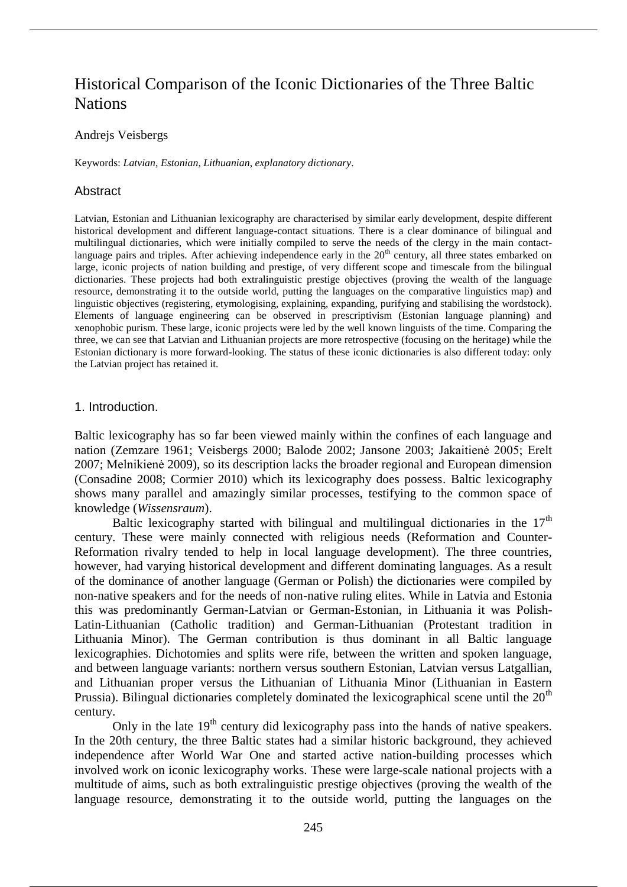# Historical Comparison of the Iconic Dictionaries of the Three Baltic **Nations**

#### Andrejs Veisbergs

Keywords: *Latvian*, *Estonian*, *Lithuanian*, *explanatory dictionary*.

#### Abstract

Latvian, Estonian and Lithuanian lexicography are characterised by similar early development, despite different historical development and different language-contact situations. There is a clear dominance of bilingual and multilingual dictionaries, which were initially compiled to serve the needs of the clergy in the main contactlanguage pairs and triples. After achieving independence early in the 20<sup>th</sup> century, all three states embarked on large, iconic projects of nation building and prestige, of very different scope and timescale from the bilingual dictionaries. These projects had both extralinguistic prestige objectives (proving the wealth of the language resource, demonstrating it to the outside world, putting the languages on the comparative linguistics map) and linguistic objectives (registering, etymologising, explaining, expanding, purifying and stabilising the wordstock). Elements of language engineering can be observed in prescriptivism (Estonian language planning) and xenophobic purism. These large, iconic projects were led by the well known linguists of the time. Comparing the three, we can see that Latvian and Lithuanian projects are more retrospective (focusing on the heritage) while the Estonian dictionary is more forward-looking. The status of these iconic dictionaries is also different today: only the Latvian project has retained it.

#### 1. Introduction.

Baltic lexicography has so far been viewed mainly within the confines of each language and nation (Zemzare 1961; Veisbergs 2000; Balode 2002; Jansone 2003; Jakaitienė 2005; Erelt 2007; Melnikienė 2009), so its description lacks the broader regional and European dimension (Consadine 2008; Cormier 2010) which its lexicography does possess. Baltic lexicography shows many parallel and amazingly similar processes, testifying to the common space of knowledge (*Wissensraum*).

Baltic lexicography started with bilingual and multilingual dictionaries in the  $17<sup>th</sup>$ century. These were mainly connected with religious needs (Reformation and Counter-Reformation rivalry tended to help in local language development). The three countries, however, had varying historical development and different dominating languages. As a result of the dominance of another language (German or Polish) the dictionaries were compiled by non-native speakers and for the needs of non-native ruling elites. While in Latvia and Estonia this was predominantly German-Latvian or German-Estonian, in Lithuania it was Polish-Latin-Lithuanian (Catholic tradition) and German-Lithuanian (Protestant tradition in Lithuania Minor). The German contribution is thus dominant in all Baltic language lexicographies. Dichotomies and splits were rife, between the written and spoken language, and between language variants: northern versus southern Estonian, Latvian versus Latgallian, and Lithuanian proper versus the Lithuanian of Lithuania Minor (Lithuanian in Eastern Prussia). Bilingual dictionaries completely dominated the lexicographical scene until the  $20<sup>th</sup>$ century.

Only in the late  $19<sup>th</sup>$  century did lexicography pass into the hands of native speakers. In the 20th century, the three Baltic states had a similar historic background, they achieved independence after World War One and started active nation-building processes which involved work on iconic lexicography works. These were large-scale national projects with a multitude of aims, such as both extralinguistic prestige objectives (proving the wealth of the language resource, demonstrating it to the outside world, putting the languages on the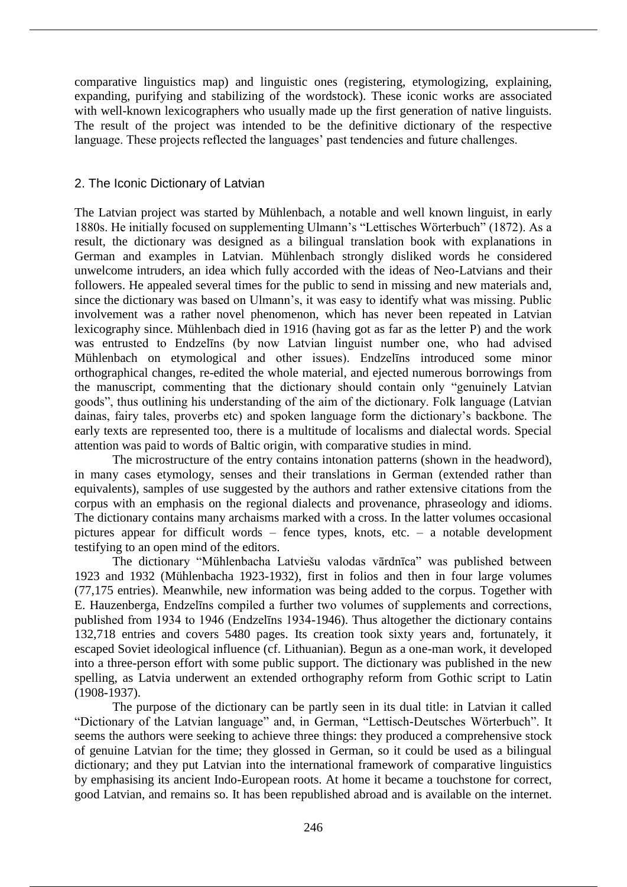comparative linguistics map) and linguistic ones (registering, etymologizing, explaining, expanding, purifying and stabilizing of the wordstock). These iconic works are associated with well-known lexicographers who usually made up the first generation of native linguists. The result of the project was intended to be the definitive dictionary of the respective language. These projects reflected the languages' past tendencies and future challenges.

## 2. The Iconic Dictionary of Latvian

The Latvian project was started by Mühlenbach, a notable and well known linguist, in early 1880s. He initially focused on supplementing Ulmann's "Lettisches Wörterbuch" (1872). As a result, the dictionary was designed as a bilingual translation book with explanations in German and examples in Latvian. Mühlenbach strongly disliked words he considered unwelcome intruders, an idea which fully accorded with the ideas of Neo-Latvians and their followers. He appealed several times for the public to send in missing and new materials and, since the dictionary was based on Ulmann's, it was easy to identify what was missing. Public involvement was a rather novel phenomenon, which has never been repeated in Latvian lexicography since. Mühlenbach died in 1916 (having got as far as the letter P) and the work was entrusted to Endzelīns (by now Latvian linguist number one, who had advised Mühlenbach on etymological and other issues). Endzelīns introduced some minor orthographical changes, re-edited the whole material, and ejected numerous borrowings from the manuscript, commenting that the dictionary should contain only "genuinely Latvian goods", thus outlining his understanding of the aim of the dictionary. Folk language (Latvian dainas, fairy tales, proverbs etc) and spoken language form the dictionary's backbone. The early texts are represented too, there is a multitude of localisms and dialectal words. Special attention was paid to words of Baltic origin, with comparative studies in mind.

The microstructure of the entry contains intonation patterns (shown in the headword), in many cases etymology, senses and their translations in German (extended rather than equivalents), samples of use suggested by the authors and rather extensive citations from the corpus with an emphasis on the regional dialects and provenance, phraseology and idioms. The dictionary contains many archaisms marked with a cross. In the latter volumes occasional pictures appear for difficult words – fence types, knots, etc. – a notable development testifying to an open mind of the editors.

The dictionary "Mühlenbacha Latviešu valodas vārdnīca" was published between 1923 and 1932 (Mühlenbacha 1923-1932), first in folios and then in four large volumes (77,175 entries). Meanwhile, new information was being added to the corpus. Together with E. Hauzenberga, Endzelīns compiled a further two volumes of supplements and corrections, published from 1934 to 1946 (Endzelīns 1934-1946). Thus altogether the dictionary contains 132,718 entries and covers 5480 pages. Its creation took sixty years and, fortunately, it escaped Soviet ideological influence (cf. Lithuanian). Begun as a one-man work, it developed into a three-person effort with some public support. The dictionary was published in the new spelling, as Latvia underwent an extended orthography reform from Gothic script to Latin (1908-1937).

The purpose of the dictionary can be partly seen in its dual title: in Latvian it called "Dictionary of the Latvian language" and, in German, "Lettisch-Deutsches Wörterbuch". It seems the authors were seeking to achieve three things: they produced a comprehensive stock of genuine Latvian for the time; they glossed in German, so it could be used as a bilingual dictionary; and they put Latvian into the international framework of comparative linguistics by emphasising its ancient Indo-European roots. At home it became a touchstone for correct, good Latvian, and remains so. It has been republished abroad and is available on the internet.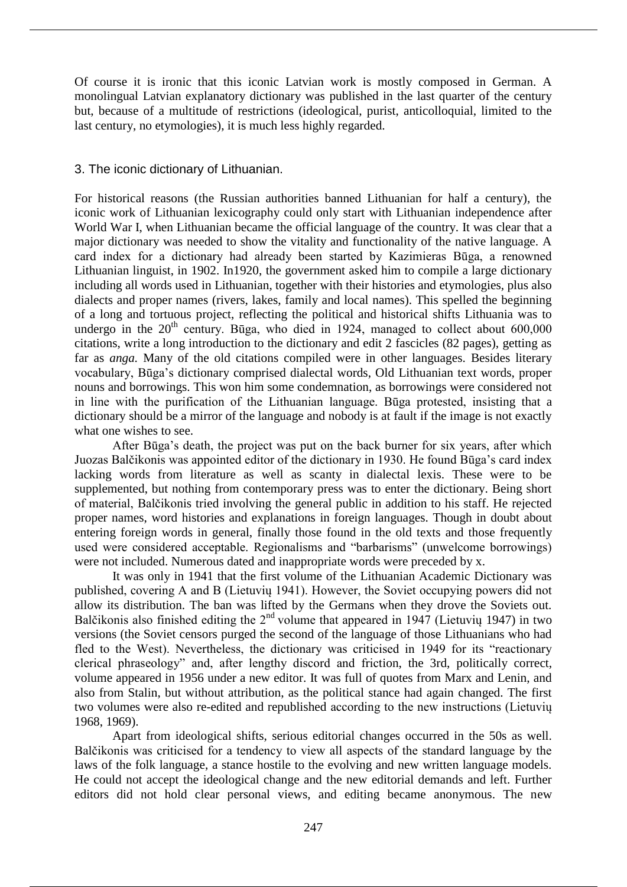Of course it is ironic that this iconic Latvian work is mostly composed in German. A monolingual Latvian explanatory dictionary was published in the last quarter of the century but, because of a multitude of restrictions (ideological, purist, anticolloquial, limited to the last century, no etymologies), it is much less highly regarded.

## 3. The iconic dictionary of Lithuanian.

For historical reasons (the Russian authorities banned Lithuanian for half a century), the iconic work of Lithuanian lexicography could only start with Lithuanian independence after World War I, when Lithuanian became the official language of the country. It was clear that a major dictionary was needed to show the vitality and functionality of the native language. A card index for a dictionary had already been started by Kazimieras Būga, a renowned Lithuanian linguist, in 1902. In1920, the government asked him to compile a large dictionary including all words used in Lithuanian, together with their histories and etymologies, plus also dialects and proper names (rivers, lakes, family and local names). This spelled the beginning of a long and tortuous project, reflecting the political and historical shifts Lithuania was to undergo in the  $20<sup>th</sup>$  century. Būga, who died in 1924, managed to collect about 600,000 citations, write a long introduction to the dictionary and edit 2 fascicles (82 pages), getting as far as *anga.* Many of the old citations compiled were in other languages. Besides literary vocabulary, Būga's dictionary comprised dialectal words, Old Lithuanian text words, proper nouns and borrowings. This won him some condemnation, as borrowings were considered not in line with the purification of the Lithuanian language. Būga protested, insisting that a dictionary should be a mirror of the language and nobody is at fault if the image is not exactly what one wishes to see.

After Būga's death, the project was put on the back burner for six years, after which Juozas Balčikonis was appointed editor of the dictionary in 1930. He found Būga's card index lacking words from literature as well as scanty in dialectal lexis. These were to be supplemented, but nothing from contemporary press was to enter the dictionary. Being short of material, Balčikonis tried involving the general public in addition to his staff. He rejected proper names, word histories and explanations in foreign languages. Though in doubt about entering foreign words in general, finally those found in the old texts and those frequently used were considered acceptable. Regionalisms and "barbarisms" (unwelcome borrowings) were not included. Numerous dated and inappropriate words were preceded by x.

It was only in 1941 that the first volume of the Lithuanian Academic Dictionary was published, covering A and B (Lietuvių 1941). However, the Soviet occupying powers did not allow its distribution. The ban was lifted by the Germans when they drove the Soviets out. Balčikonis also finished editing the  $2<sup>nd</sup>$  volume that appeared in 1947 (Lietuvių 1947) in two versions (the Soviet censors purged the second of the language of those Lithuanians who had fled to the West). Nevertheless, the dictionary was criticised in 1949 for its "reactionary clerical phraseology" and, after lengthy discord and friction, the 3rd, politically correct, volume appeared in 1956 under a new editor. It was full of quotes from Marx and Lenin, and also from Stalin, but without attribution, as the political stance had again changed. The first two volumes were also re-edited and republished according to the new instructions (Lietuvių 1968, 1969).

Apart from ideological shifts, serious editorial changes occurred in the 50s as well. Balčikonis was criticised for a tendency to view all aspects of the standard language by the laws of the folk language, a stance hostile to the evolving and new written language models. He could not accept the ideological change and the new editorial demands and left. Further editors did not hold clear personal views, and editing became anonymous. The new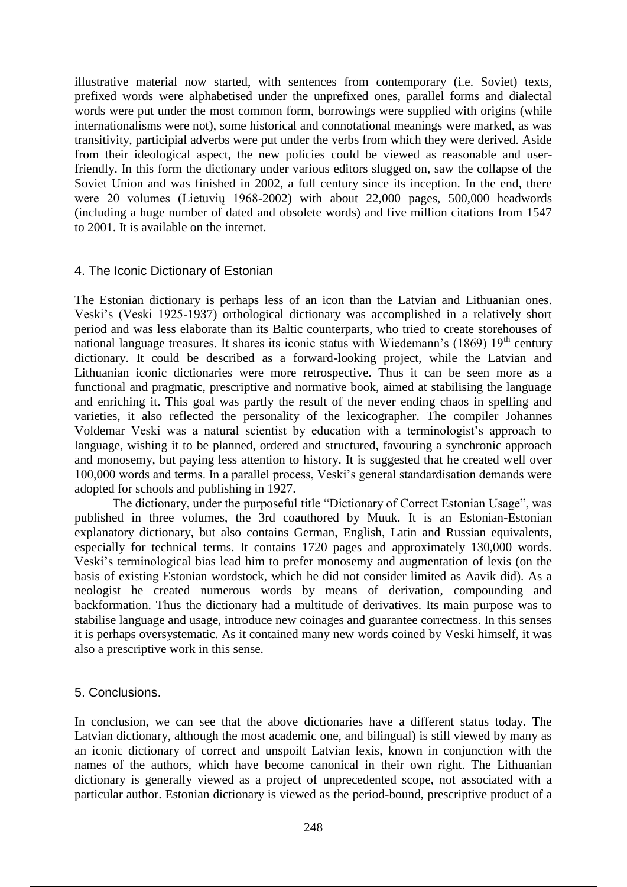illustrative material now started, with sentences from contemporary (i.e. Soviet) texts, prefixed words were alphabetised under the unprefixed ones, parallel forms and dialectal words were put under the most common form, borrowings were supplied with origins (while internationalisms were not), some historical and connotational meanings were marked, as was transitivity, participial adverbs were put under the verbs from which they were derived. Aside from their ideological aspect, the new policies could be viewed as reasonable and userfriendly. In this form the dictionary under various editors slugged on, saw the collapse of the Soviet Union and was finished in 2002, a full century since its inception. In the end, there were 20 volumes (Lietuvių 1968-2002) with about 22,000 pages, 500,000 headwords (including a huge number of dated and obsolete words) and five million citations from 1547 to 2001. It is available on the internet.

#### 4. The Iconic Dictionary of Estonian

The Estonian dictionary is perhaps less of an icon than the Latvian and Lithuanian ones. Veski's (Veski 1925-1937) orthological dictionary was accomplished in a relatively short period and was less elaborate than its Baltic counterparts, who tried to create storehouses of national language treasures. It shares its iconic status with Wiedemann's (1869) 19<sup>th</sup> century dictionary. It could be described as a forward-looking project, while the Latvian and Lithuanian iconic dictionaries were more retrospective. Thus it can be seen more as a functional and pragmatic, prescriptive and normative book, aimed at stabilising the language and enriching it. This goal was partly the result of the never ending chaos in spelling and varieties, it also reflected the personality of the lexicographer. The compiler Johannes Voldemar Veski was a natural scientist by education with a terminologist's approach to language, wishing it to be planned, ordered and structured, favouring a synchronic approach and monosemy, but paying less attention to history. It is suggested that he created well over 100,000 words and terms. In a parallel process, Veski's general standardisation demands were adopted for schools and publishing in 1927.

The dictionary, under the purposeful title "Dictionary of Correct Estonian Usage", was published in three volumes, the 3rd coauthored by Muuk. It is an Estonian-Estonian explanatory dictionary, but also contains German, English, Latin and Russian equivalents, especially for technical terms. It contains 1720 pages and approximately 130,000 words. Veski's terminological bias lead him to prefer monosemy and augmentation of lexis (on the basis of existing Estonian wordstock, which he did not consider limited as Aavik did). As a neologist he created numerous words by means of derivation, compounding and backformation. Thus the dictionary had a multitude of derivatives. Its main purpose was to stabilise language and usage, introduce new coinages and guarantee correctness. In this senses it is perhaps oversystematic. As it contained many new words coined by Veski himself, it was also a prescriptive work in this sense.

## 5. Conclusions.

In conclusion, we can see that the above dictionaries have a different status today. The Latvian dictionary, although the most academic one, and bilingual) is still viewed by many as an iconic dictionary of correct and unspoilt Latvian lexis, known in conjunction with the names of the authors, which have become canonical in their own right. The Lithuanian dictionary is generally viewed as a project of unprecedented scope, not associated with a particular author. Estonian dictionary is viewed as the period-bound, prescriptive product of a